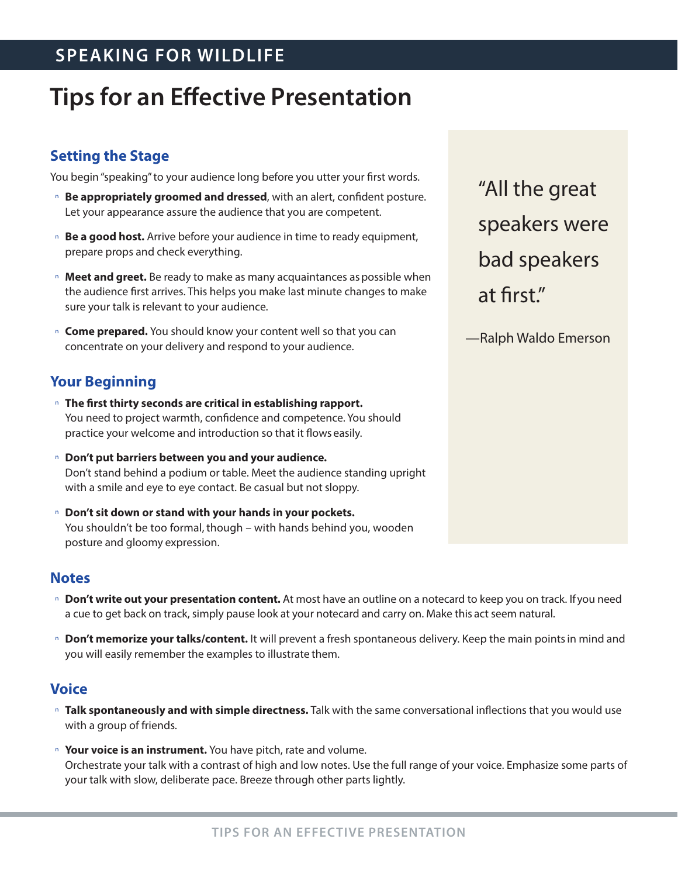# **SPEAKING FOR WILDLIFE**

# **Tips for an Effective Presentation**

# **Setting the Stage**

You begin "speaking" to your audience long before you utter your first words.

- <sup>n</sup> **Be appropriately groomed and dressed**, with an alert, confident posture. Let your appearance assure the audience that you are competent.
- <sup>n</sup> **Be a good host.** Arrive before your audience in time to ready equipment, prepare props and check everything.
- <sup>n</sup> **Meet and greet.** Be ready to make as many acquaintances aspossible when the audience first arrives. This helps you make last minute changes to make sure your talk is relevant to your audience.
- <sup>n</sup> **Come prepared.** You should know your content well so that you can concentrate on your delivery and respond to your audience.

# **Your Beginning**

- <sup>n</sup> **The first thirty seconds are critical in establishing rapport.** You need to project warmth, confidence and competence. You should practice your welcome and introduction so that it flows easily.
- <sup>n</sup> **Don't put barriers between you and your audience.** Don't stand behind a podium or table. Meet the audience standing upright with a smile and eye to eye contact. Be casual but not sloppy.
- <sup>n</sup> **Don't sit down or stand with your hands in your pockets.** You shouldn't be too formal, though – with hands behind you, wooden posture and gloomy expression.

#### **Notes**

- <sup>n</sup> **Don't write out your presentation content.** At most have an outline on a notecard to keep you on track. If you need a cue to get back on track, simply pause look at your notecard and carry on. Make this act seem natural.
- <sup>n</sup> **Don't memorize your talks/content.** It will prevent a fresh spontaneous delivery. Keep the main points in mind and you will easily remember the examples to illustrate them.

### **Voice**

- <sup>n</sup> **Talk spontaneously and with simple directness.** Talk with the same conversational inflections that you would use with a group of friends.
- <sup>n</sup> **Your voice is an instrument.** You have pitch, rate and volume. Orchestrate your talk with a contrast of high and low notes. Use the full range of your voice. Emphasize some parts of your talk with slow, deliberate pace. Breeze through other parts lightly.

"All the great speakers were bad speakers at first."

—Ralph Waldo Emerson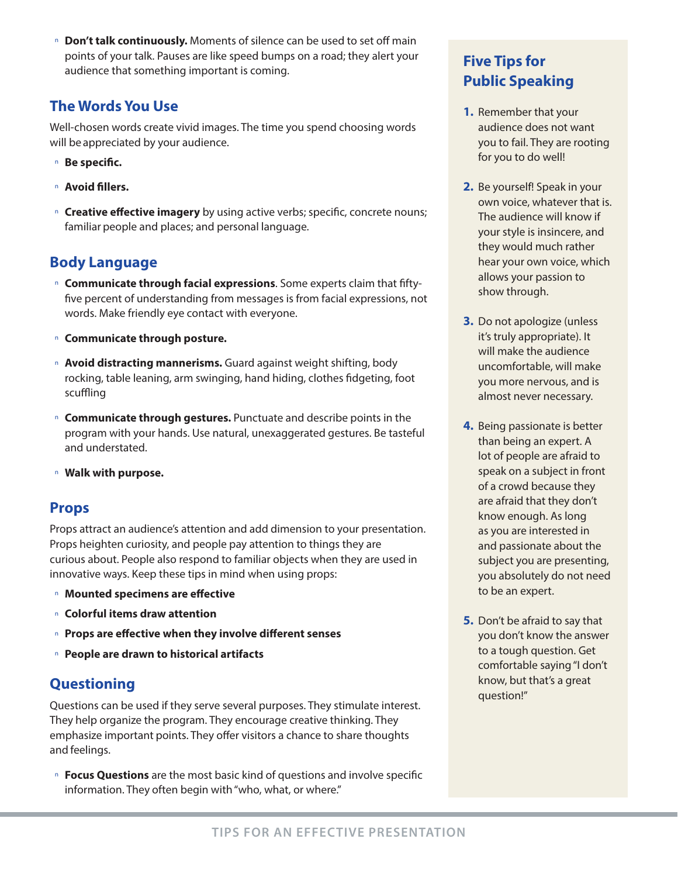<sup>n</sup> **Don't talk continuously.** Moments of silence can be used to set off main points of your talk. Pauses are like speed bumps on a road; they alert your audience that something important is coming.

# **The Words You Use**

Well-chosen words create vivid images. The time you spend choosing words will be appreciated by your audience.

- <sup>n</sup> **Be specific.**
- <sup>n</sup> **Avoid fillers.**
- <sup>n</sup> **Creative effective imagery** by using active verbs; specific, concrete nouns; familiar people and places; and personal language.

# **Body Language**

- <sup>n</sup> **Communicate through facial expressions**. Some experts claim that fiftyfive percent of understanding from messages is from facial expressions, not words. Make friendly eye contact with everyone.
- <sup>n</sup> **Communicate through posture.**
- <sup>n</sup> **Avoid distracting mannerisms.** Guard against weight shifting, body rocking, table leaning, arm swinging, hand hiding, clothes fidgeting, foot scuffling
- <sup>n</sup> **Communicate through gestures.** Punctuate and describe points in the program with your hands. Use natural, unexaggerated gestures. Be tasteful and understated.
- <sup>n</sup> **Walk with purpose.**

### **Props**

Props attract an audience's attention and add dimension to your presentation. Props heighten curiosity, and people pay attention to things they are curious about. People also respond to familiar objects when they are used in innovative ways. Keep these tips in mind when using props:

- <sup>n</sup> **Mounted specimens are effective**
- <sup>n</sup> **Colorful items draw attention**
- <sup>n</sup> **Props are effective when they involve different senses**
- <sup>n</sup> **People are drawn to historical artifacts**

# **Questioning**

Questions can be used if they serve several purposes. They stimulate interest. They help organize the program. They encourage creative thinking. They emphasize important points. They offer visitors a chance to share thoughts and feelings.

<sup>n</sup> **Focus Questions** are the most basic kind of questions and involve specific information. They often begin with "who, what, or where."

# **Five Tips for Public Speaking**

- **1.** Remember that your audience does not want you to fail. They are rooting for you to do well!
- **2.** Be yourself! Speak in your own voice, whatever that is. The audience will know if your style is insincere, and they would much rather hear your own voice, which allows your passion to show through.
- **3.** Do not apologize (unless it's truly appropriate). It will make the audience uncomfortable, will make you more nervous, and is almost never necessary.
- **4.** Being passionate is better than being an expert. A lot of people are afraid to speak on a subject in front of a crowd because they are afraid that they don't know enough. As long as you are interested in and passionate about the subject you are presenting, you absolutely do not need to be an expert.
- **5.** Don't be afraid to say that you don't know the answer to a tough question. Get comfortable saying "I don't know, but that's a great question!"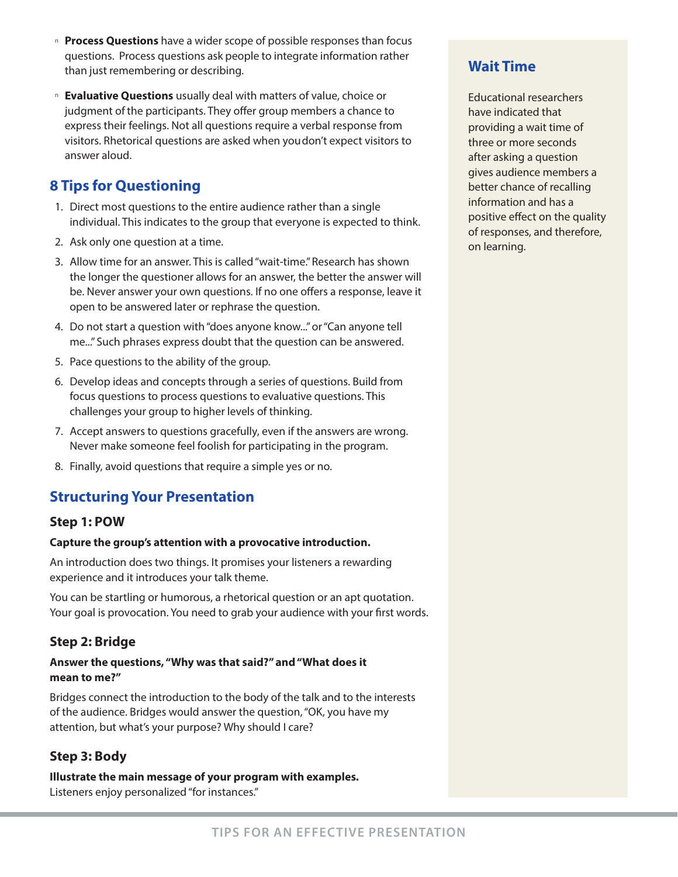- <sup>n</sup> **Process Questions** have a wider scope of possible responses than focus questions. Process questions ask people to integrate information rather than just remembering or describing.
- <sup>n</sup> **Evaluative Questions** usually deal with matters of value, choice or judgment of the participants. They offer group members a chance to express their feelings. Not all questions require a verbal response from visitors. Rhetorical questions are asked when you don't expect visitors to answer aloud.

# **8 Tips for Questioning**

- 1. Direct most questions to the entire audience rather than a single individual. This indicates to the group that everyone is expected to think.
- 2. Ask only one question at a time.
- 3. Allow time for an answer. This is called "wait-time." Research has shown the longer the questioner allows for an answer, the better the answer will be. Never answer your own questions. If no one offers a response, leave it open to be answered later or rephrase the question.
- 4. Do not start a question with "does anyone know..." or "Can anyone tell me..." Such phrases express doubt that the question can be answered.
- 5. Pace questions to the ability of the group.
- 6. Develop ideas and concepts through a series of questions. Build from focus questions to process questions to evaluative questions. This challenges your group to higher levels of thinking.
- 7. Accept answers to questions gracefully, even if the answers are wrong. Never make someone feel foolish for participating in the program.
- 8. Finally, avoid questions that require a simple yes or no.

# **Structuring Your Presentation**

#### **Step 1: POW**

#### **Capture the group's attention with a provocative introduction.**

An introduction does two things. It promises your listeners a rewarding experience and it introduces your talk theme.

You can be startling or humorous, a rhetorical question or an apt quotation. Your goal is provocation. You need to grab your audience with your first words.

### **Step 2: Bridge**

#### **Answer the questions, "Why was that said?" and "What does it mean to me?"**

Bridges connect the introduction to the body of the talk and to the interests of the audience. Bridges would answer the question, "OK, you have my attention, but what's your purpose? Why should I care?

### **Step 3: Body**

**Illustrate the main message of your program with examples.** Listeners enjoy personalized "for instances."

### **Wait Time**

Educational researchers have indicated that providing a wait time of three or more seconds after asking a question gives audience members a better chance of recalling information and has a positive effect on the quality of responses, and therefore, on learning.